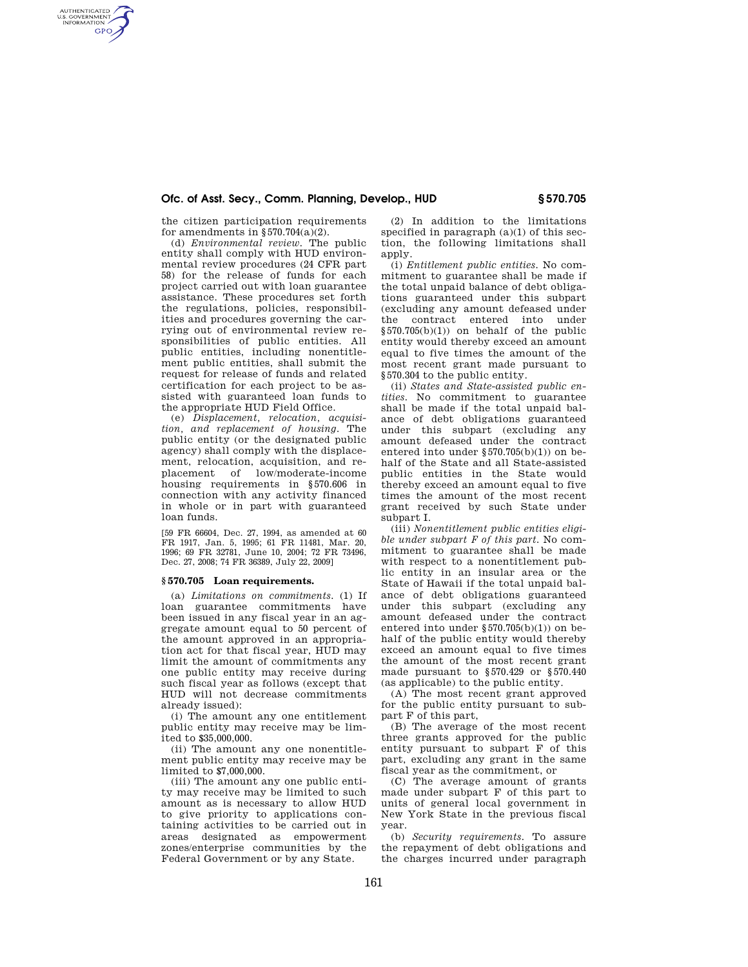## **Ofc. of Asst. Secy., Comm. Planning, Develop., HUD § 570.705**

the citizen participation requirements for amendments in  $\S 570.704(a)(2)$ .

AUTHENTICATED<br>U.S. GOVERNMENT<br>INFORMATION **GPO** 

> (d) *Environmental review.* The public entity shall comply with HUD environmental review procedures (24 CFR part 58) for the release of funds for each project carried out with loan guarantee assistance. These procedures set forth the regulations, policies, responsibilities and procedures governing the carrying out of environmental review responsibilities of public entities. All public entities, including nonentitlement public entities, shall submit the request for release of funds and related certification for each project to be assisted with guaranteed loan funds to the appropriate HUD Field Office.

> (e) *Displacement, relocation, acquisition, and replacement of housing.* The public entity (or the designated public agency) shall comply with the displacement, relocation, acquisition, and replacement of low/moderate-income housing requirements in §570.606 in connection with any activity financed in whole or in part with guaranteed loan funds.

> [59 FR 66604, Dec. 27, 1994, as amended at 60 FR 1917, Jan. 5, 1995; 61 FR 11481, Mar. 20, 1996; 69 FR 32781, June 10, 2004; 72 FR 73496, Dec. 27, 2008; 74 FR 36389, July 22, 2009]

## **§ 570.705 Loan requirements.**

(a) *Limitations on commitments.* (1) If loan guarantee commitments have been issued in any fiscal year in an aggregate amount equal to 50 percent of the amount approved in an appropriation act for that fiscal year, HUD may limit the amount of commitments any one public entity may receive during such fiscal year as follows (except that HUD will not decrease commitments already issued):

(i) The amount any one entitlement public entity may receive may be limited to \$35,000,000.

(ii) The amount any one nonentitlement public entity may receive may be limited to \$7,000,000.

(iii) The amount any one public entity may receive may be limited to such amount as is necessary to allow HUD to give priority to applications containing activities to be carried out in areas designated as empowerment zones/enterprise communities by the Federal Government or by any State.

(2) In addition to the limitations specified in paragraph  $(a)(1)$  of this section, the following limitations shall a<sub>pply</sub>.

(i) *Entitlement public entities.* No commitment to guarantee shall be made if the total unpaid balance of debt obligations guaranteed under this subpart (excluding any amount defeased under the contract entered into under  $§570.705(b)(1))$  on behalf of the public entity would thereby exceed an amount equal to five times the amount of the most recent grant made pursuant to §570.304 to the public entity.

(ii) *States and State-assisted public entities.* No commitment to guarantee shall be made if the total unpaid balance of debt obligations guaranteed under this subpart (excluding any amount defeased under the contract entered into under §570.705(b)(1)) on behalf of the State and all State-assisted public entities in the State would thereby exceed an amount equal to five times the amount of the most recent grant received by such State under subpart I.

(iii) *Nonentitlement public entities eligible under subpart F of this part.* No commitment to guarantee shall be made with respect to a nonentitlement public entity in an insular area or the State of Hawaii if the total unpaid balance of debt obligations guaranteed under this subpart (excluding any amount defeased under the contract entered into under §570.705(b)(1)) on behalf of the public entity would thereby exceed an amount equal to five times the amount of the most recent grant made pursuant to §570.429 or §570.440 (as applicable) to the public entity.

(A) The most recent grant approved for the public entity pursuant to subpart F of this part,

(B) The average of the most recent three grants approved for the public entity pursuant to subpart F of this part, excluding any grant in the same fiscal year as the commitment, or

(C) The average amount of grants made under subpart F of this part to units of general local government in New York State in the previous fiscal year.

(b) *Security requirements.* To assure the repayment of debt obligations and the charges incurred under paragraph